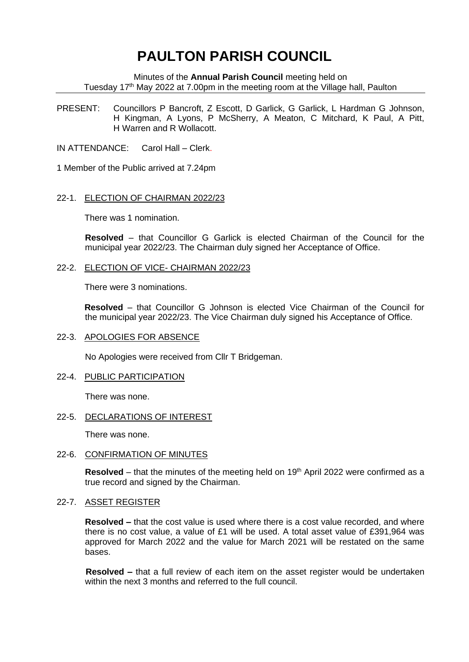# **PAULTON PARISH COUNCIL**

Minutes of the **Annual Parish Council** meeting held on Tuesday 17th May 2022 at 7.00pm in the meeting room at the Village hall, Paulton

PRESENT: Councillors P Bancroft, Z Escott, D Garlick, G Garlick, L Hardman G Johnson, H Kingman, A Lyons, P McSherry, A Meaton, C Mitchard, K Paul, A Pitt, H Warren and R Wollacott.

IN ATTENDANCE: Carol Hall – Clerk.

1 Member of the Public arrived at 7.24pm

## 22-1. ELECTION OF CHAIRMAN 2022/23

There was 1 nomination.

**Resolved** – that Councillor G Garlick is elected Chairman of the Council for the municipal year 2022/23. The Chairman duly signed her Acceptance of Office.

#### 22-2. ELECTION OF VICE- CHAIRMAN 2022/23

There were 3 nominations.

**Resolved** – that Councillor G Johnson is elected Vice Chairman of the Council for the municipal year 2022/23. The Vice Chairman duly signed his Acceptance of Office.

## 22-3. APOLOGIES FOR ABSENCE

No Apologies were received from Cllr T Bridgeman.

## 22-4. PUBLIC PARTICIPATION

There was none.

## 22-5. DECLARATIONS OF INTEREST

There was none.

### 22-6. CONFIRMATION OF MINUTES

**Resolved** – that the minutes of the meeting held on 19<sup>th</sup> April 2022 were confirmed as a true record and signed by the Chairman.

#### 22-7. ASSET REGISTER

**Resolved –** that the cost value is used where there is a cost value recorded, and where there is no cost value, a value of £1 will be used. A total asset value of £391,964 was approved for March 2022 and the value for March 2021 will be restated on the same bases.

 **Resolved –** that a full review of each item on the asset register would be undertaken within the next 3 months and referred to the full council.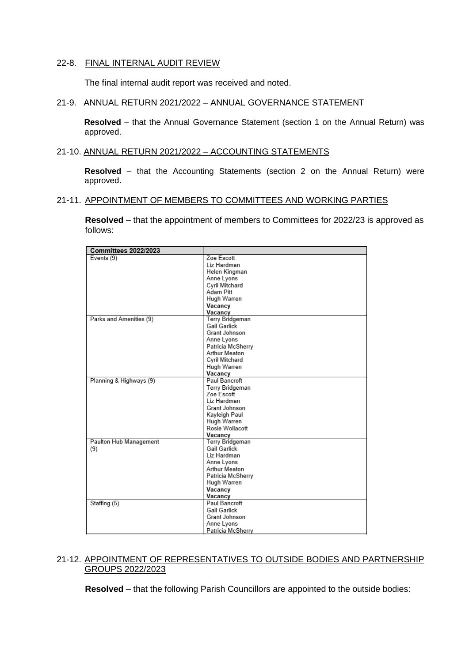# 22-8. FINAL INTERNAL AUDIT REVIEW

The final internal audit report was received and noted.

# 21-9. ANNUAL RETURN 2021/2022 – ANNUAL GOVERNANCE STATEMENT

**Resolved** – that the Annual Governance Statement (section 1 on the Annual Return) was approved.

## 21-10. ANNUAL RETURN 2021/2022 – ACCOUNTING STATEMENTS

**Resolved** – that the Accounting Statements (section 2 on the Annual Return) were approved.

#### 21-11. APPOINTMENT OF MEMBERS TO COMMITTEES AND WORKING PARTIES

**Resolved** – that the appointment of members to Committees for 2022/23 is approved as follows:

| <b>Committees 2022/2023</b> |                      |
|-----------------------------|----------------------|
| Events (9)                  | Zoe Escott           |
|                             | Liz Hardman          |
|                             | Helen Kingman        |
|                             | Anne Lyons           |
|                             | Cyril Mitchard       |
|                             | Adam Pitt            |
|                             | Hugh Warren          |
|                             | Vacancy              |
|                             | Vacancy              |
| Parks and Amenities (9)     | Terry Bridgeman      |
|                             | <b>Gail Garlick</b>  |
|                             | Grant Johnson        |
|                             | Anne Lyons           |
|                             | Patricia McSherry    |
|                             | Arthur Meaton        |
|                             | Cyril Mitchard       |
|                             | Hugh Warren          |
|                             | Vacancy              |
| Planning & Highways (9)     | Paul Bancroft        |
|                             | Terry Bridgeman      |
|                             | Zoe Escott           |
|                             | Liz Hardman          |
|                             | Grant Johnson        |
|                             | Kayleigh Paul        |
|                             | Hugh Warren          |
|                             | Rosie Wollacott      |
|                             | Vacancy              |
| Paulton Hub Management      | Terry Bridgeman      |
| (9)                         | Gail Garlick         |
|                             | Liz Hardman          |
|                             | Anne Lyons           |
|                             | Arthur Meaton        |
|                             | Patricia McSherry    |
|                             | Hugh Warren          |
|                             | Vacancy              |
|                             | Vacancy              |
| Staffing (5)                | <b>Paul Bancroft</b> |
|                             | <b>Gail Garlick</b>  |
|                             | Grant Johnson        |
|                             | Anne Lyons           |
|                             | Patricia McSherry    |
|                             |                      |

# 21-12. APPOINTMENT OF REPRESENTATIVES TO OUTSIDE BODIES AND PARTNERSHIP GROUPS 2022/2023

**Resolved** – that the following Parish Councillors are appointed to the outside bodies: